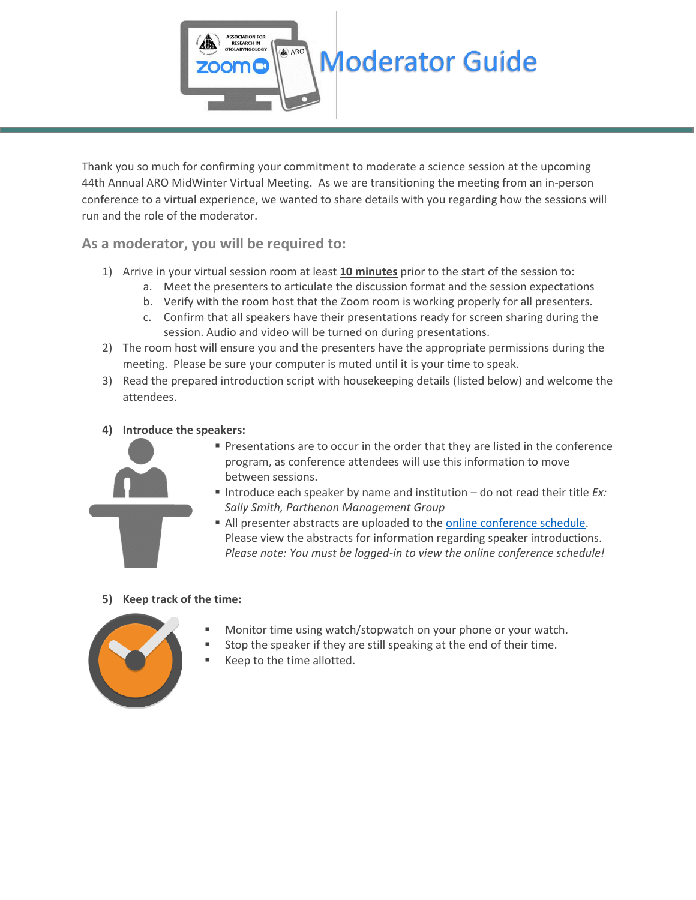

Thank you so much for confirming your commitment to moderate a science session at the upcoming 44th Annual ARO MidWinter Virtual Meeting. As we are transitioning the meeting from an in-person conference to a virtual experience, we wanted to share details with you regarding how the sessions will run and the role of the moderator.

**As a moderator, you will be required to:**

- 1) Arrive in your virtual session room at least **10 minutes** prior to the start of the session to:
	- a. Meet the presenters to articulate the discussion format and the session expectations
	- b. Verify with the room host that the Zoom room is working properly for all presenters.
	- c. Confirm that all speakers have their presentations ready for screen sharing during the session. Audio and video will be turned on during presentations.
- 2) The room host will ensure you and the presenters have the appropriate permissions during the meeting. Please be sure your computer is muted until it is your time to speak.
- 3) Read the prepared introduction script with housekeeping details (listed below) and welcome the attendees.
- **4) Introduce the speakers:**



- Presentations are to occur in the order that they are listed in the conference program, as conference attendees will use this information to move between sessions.
- Introduce each speaker by name and institution do not read their title *Ex: Sally Smith, Parthenon Management Group*
- All presenter abstracts are uploaded to the [online conference schedule.](https://aro.societyconference.com/conf/#sessions/conf10001) Please view the abstracts for information regarding speaker introductions. *Please note: You must be logged-in to view the online conference schedule!*

## **5) Keep track of the time:**



- Monitor time using watch/stopwatch on your phone or your watch.
- Stop the speaker if they are still speaking at the end of their time.
- Keep to the time allotted.